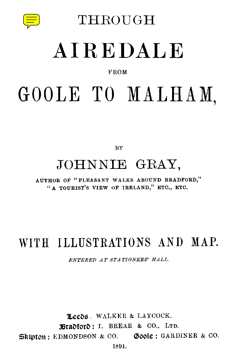

THROUGH

## **AIREDALE**

#### FROM

# GOOLE TO MALHAM,

BY

### JOHNNIE GRAY,

AUTHOR OF "PLEASANT WALKS AROUND BRADFORD," "A TOURIST'S VIEW OF IRELAND," ETC., ETC.

#### WITH ILLUSTRATIONS AND MAP.

*ENTERED AT STATIONERS' HALL.*

Leeds. WALKER & LAYCOCK. Bradford: T. BREAR & CO., LTD.  $\mathfrak{B}$ kipton: EDMONDSON & CO. Goole: GARDINER & CO. 1891.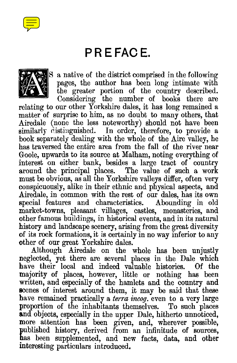

#### **PREFACE.**



S a native of the district comprised in the following pages, the author has been long intimate with the greater portion of the country described.

Considering the number of books there are relating to our other Yorkshire dales, it has long remained a matter of surprise to him, as no doubt to many others, that Airedale (none the less noteworthy) should not have been similarly distinguished. In order, therefore, to provide a book separately dealing with the whole of the Aire valley, he has traversed the entire area from the fall of the river near Goole, upwards to its source at Malham, noting everything of interest on either bank, besides a large tract of country around the principal places. The value of such a work must be obvious, as all the Yorkshire valleys differ, often very conspicuously, alike in their ethnic and physical aspects, and Airedale, in common with the rest of our dales, has its own special features and characteristics. Abounding in old special features and characteristics. market-towns, pleasant villages, castles, monasteries, and other famous buildings, in historical events, and in its natural history and landscape scenery, arising from the great diversity of its rock formations, it is certainly in no way inferior to any other of our great Yorkshire dales.

Although Airedale on the whole has been unjustly neglected, yet there are several places in the Dale which<br>have their local and indeed valuable histories. Of the have their local and indeed valuable histories. majority of places, however, little or nothing has been written, and especially of the hamlets and the country and scenes of interest around them, it may be said that these have remained practically a *terra incog*, even to a very large proportion of the inhabitants themselves. To such places proportion of the inhabitants themselves. and objects, especially in the upper Dale, hitherto unnoticed, more attention has been given, and, wherever possible, published history, derived from an infinitude of sources, has been supplemented, and new facts, data, and other interesting particulars introduced.